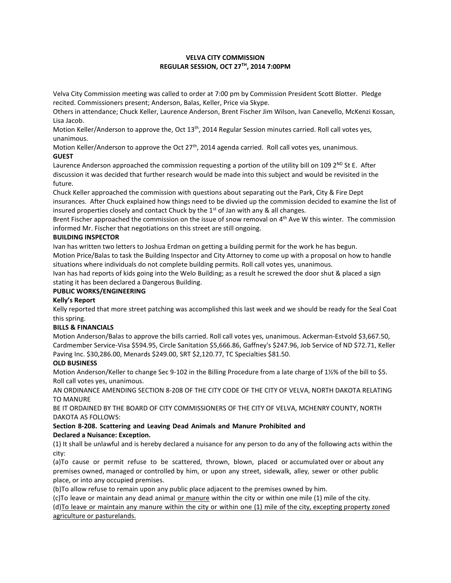# **VELVA CITY COMMISSION REGULAR SESSION, OCT 27TH, 2014 7:00PM**

Velva City Commission meeting was called to order at 7:00 pm by Commission President Scott Blotter. Pledge recited. Commissioners present; Anderson, Balas, Keller, Price via Skype.

Others in attendance; Chuck Keller, Laurence Anderson, Brent Fischer Jim Wilson, Ivan Canevello, McKenzi Kossan, Lisa Jacob.

Motion Keller/Anderson to approve the, Oct 13<sup>th</sup>, 2014 Regular Session minutes carried. Roll call votes yes, unanimous.

Motion Keller/Anderson to approve the Oct 27<sup>th</sup>, 2014 agenda carried. Roll call votes yes, unanimous. **GUEST**

Laurence Anderson approached the commission requesting a portion of the utility bill on 109  $2^{ND}$  St E. After discussion it was decided that further research would be made into this subject and would be revisited in the future.

Chuck Keller approached the commission with questions about separating out the Park, City & Fire Dept insurances. After Chuck explained how things need to be divvied up the commission decided to examine the list of insured properties closely and contact Chuck by the  $1<sup>st</sup>$  of Jan with any & all changes.

Brent Fischer approached the commission on the issue of snow removal on 4<sup>th</sup> Ave W this winter. The commission informed Mr. Fischer that negotiations on this street are still ongoing.

## **BUILDING INSPECTOR**

Ivan has written two letters to Joshua Erdman on getting a building permit for the work he has begun. Motion Price/Balas to task the Building Inspector and City Attorney to come up with a proposal on how to handle situations where individuals do not complete building permits. Roll call votes yes, unanimous.

Ivan has had reports of kids going into the Welo Building; as a result he screwed the door shut & placed a sign stating it has been declared a Dangerous Building.

# **PUBLIC WORKS/ENGINEERING**

## **Kelly's Report**

Kelly reported that more street patching was accomplished this last week and we should be ready for the Seal Coat this spring.

## **BILLS & FINANCIALS**

Motion Anderson/Balas to approve the bills carried. Roll call votes yes, unanimous. Ackerman-Estvold \$3,667.50, Cardmember Service-Visa \$594.95, Circle Sanitation \$5,666.86, Gaffney's \$247.96, Job Service of ND \$72.71, Keller Paving Inc. \$30,286.00, Menards \$249.00, SRT \$2,120.77, TC Specialties \$81.50.

## **OLD BUSINESS**

Motion Anderson/Keller to change Sec 9-102 in the Billing Procedure from a late charge of 1½% of the bill to \$5. Roll call votes yes, unanimous.

AN ORDINANCE AMENDING SECTION 8-208 OF THE CITY CODE OF THE CITY OF VELVA, NORTH DAKOTA RELATING TO MANURE

BE IT ORDAINED BY THE BOARD OF CITY COMMISSIONERS OF THE CITY OF VELVA, MCHENRY COUNTY, NORTH DAKOTA AS FOLLOWS:

## **Section 8-208. Scattering and Leaving Dead Animals and Manure Prohibited and Declared a Nuisance: Exception.**

(1) It shall be unlawful and is hereby declared a nuisance for any person to do any of the following acts within the city:

(a)To cause or permit refuse to be scattered, thrown, blown, placed or accumulated over or about any premises owned, managed or controlled by him, or upon any street, sidewalk, alley, sewer or other public place, or into any occupied premises.

(b)To allow refuse to remain upon any public place adjacent to the premises owned by him.

(c)To leave or maintain any dead animal or manure within the city or within one mile (1) mile of the city. (d)To leave or maintain any manure within the city or within one (1) mile of the city, excepting property zoned agriculture or pasturelands.